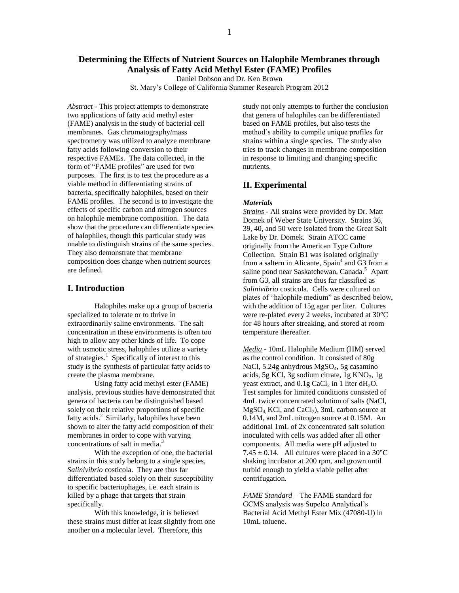# **Determining the Effects of Nutrient Sources on Halophile Membranes through Analysis of Fatty Acid Methyl Ester (FAME) Profiles**

Daniel Dobson and Dr. Ken Brown

St. Mary's College of California Summer Research Program 2012

*Abstract* - This project attempts to demonstrate two applications of fatty acid methyl ester (FAME) analysis in the study of bacterial cell membranes. Gas chromatography/mass spectrometry was utilized to analyze membrane fatty acids following conversion to their respective FAMEs. The data collected, in the form of "FAME profiles" are used for two purposes. The first is to test the procedure as a viable method in differentiating strains of bacteria, specifically halophiles, based on their FAME profiles. The second is to investigate the effects of specific carbon and nitrogen sources on halophile membrane composition. The data show that the procedure can differentiate species of halophiles, though this particular study was unable to distinguish strains of the same species. They also demonstrate that membrane composition does change when nutrient sources are defined.

# **I. Introduction**

Halophiles make up a group of bacteria specialized to tolerate or to thrive in extraordinarily saline environments. The salt concentration in these environments is often too high to allow any other kinds of life. To cope with osmotic stress, halophiles utilize a variety of strategies.<sup>1</sup> Specifically of interest to this study is the synthesis of particular fatty acids to create the plasma membrane.

Using fatty acid methyl ester (FAME) analysis, previous studies have demonstrated that genera of bacteria can be distinguished based solely on their relative proportions of specific fatty acids. 2 Similarly, halophiles have been shown to alter the fatty acid composition of their membranes in order to cope with varying concentrations of salt in media. 3

With the exception of one, the bacterial strains in this study belong to a single species, *Salinivibrio* costicola. They are thus far differentiated based solely on their susceptibility to specific bacteriophages, i.e. each strain is killed by a phage that targets that strain specifically.

With this knowledge, it is believed these strains must differ at least slightly from one another on a molecular level. Therefore, this

study not only attempts to further the conclusion that genera of halophiles can be differentiated based on FAME profiles, but also tests the method's ability to compile unique profiles for strains within a single species. The study also tries to track changes in membrane composition in response to limiting and changing specific nutrients.

## **II. Experimental**

### *Materials*

*Strains -* All strains were provided by Dr. Matt Domek of Weber State University. Strains 36, 39, 40, and 50 were isolated from the Great Salt Lake by Dr. Domek. Strain ATCC came originally from the American Type Culture Collection. Strain B1 was isolated originally from a saltern in Alicante, Spain<sup>4</sup> and G3 from a saline pond near Saskatchewan, Canada.<sup>5</sup> Apart from G3, all strains are thus far classified as *Salinivibrio* costicola. Cells were cultured on plates of "halophile medium" as described below, with the addition of 15g agar per liter. Cultures were re-plated every 2 weeks, incubated at 30°C for 48 hours after streaking, and stored at room temperature thereafter.

*Media -* 10mL Halophile Medium (HM) served as the control condition. It consisted of 80g NaCl, 5.24g anhydrous MgSO<sub>4</sub>, 5g casamino acids, 5g KCl, 3g sodium citrate, 1g KNO<sub>3</sub>, 1g yeast extract, and  $0.1g$  CaCl<sub>2</sub> in 1 liter dH<sub>2</sub>O. Test samples for limited conditions consisted of 4mL twice concentrated solution of salts (NaCl,  $MgSO<sub>4</sub>$  KCl, and CaCl<sub>2</sub>), 3mL carbon source at 0.14M, and 2mL nitrogen source at 0.15M. An additional 1mL of 2x concentrated salt solution inoculated with cells was added after all other components. All media were pH adjusted to 7.45  $\pm$  0.14. All cultures were placed in a 30°C shaking incubator at 200 rpm, and grown until turbid enough to yield a viable pellet after centrifugation.

*FAME Standard* – The FAME standard for GCMS analysis was Supelco Analytical's Bacterial Acid Methyl Ester Mix (47080-U) in 10mL toluene.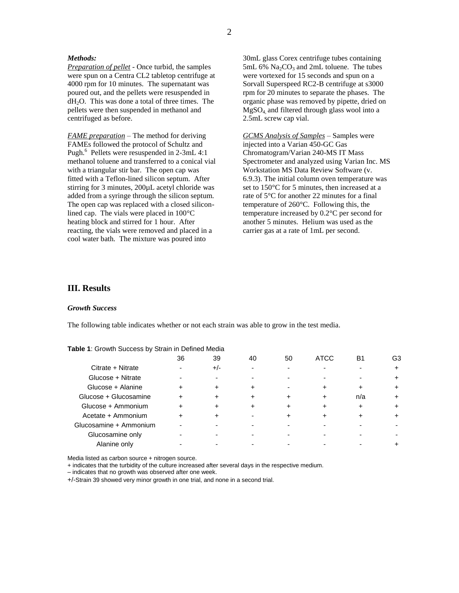## *Methods:*

*Preparation of pellet -* Once turbid, the samples were spun on a Centra CL2 tabletop centrifuge at 4000 rpm for 10 minutes. The supernatant was poured out, and the pellets were resuspended in dH2O. This was done a total of three times. The pellets were then suspended in methanol and centrifuged as before.

*FAME preparation* – The method for deriving FAMEs followed the protocol of Schultz and Pugh.<sup>6</sup> Pellets were resuspended in 2-3mL 4:1 methanol toluene and transferred to a conical vial with a triangular stir bar. The open cap was fitted with a Teflon-lined silicon septum. After stirring for 3 minutes, 200µL acetyl chloride was added from a syringe through the silicon septum. The open cap was replaced with a closed siliconlined cap. The vials were placed in 100°C heating block and stirred for 1 hour. After reacting, the vials were removed and placed in a cool water bath. The mixture was poured into

30mL glass Corex centrifuge tubes containing 5mL 6%  $Na<sub>2</sub>CO<sub>3</sub>$  and 2mL toluene. The tubes were vortexed for 15 seconds and spun on a Sorvall Superspeed RC2-B centrifuge at s3000 rpm for 20 minutes to separate the phases. The organic phase was removed by pipette, dried on MgSO4, and filtered through glass wool into a 2.5mL screw cap vial.

*GCMS Analysis of Samples –* Samples were injected into a Varian 450-GC Gas Chromatogram/Varian 240-MS IT Mass Spectrometer and analyzed using Varian Inc. MS Workstation MS Data Review Software (v. 6.9.3). The initial column oven temperature was set to 150°C for 5 minutes, then increased at a rate of 5°C for another 22 minutes for a final temperature of 260°C. Following this, the temperature increased by 0.2°C per second for another 5 minutes. Helium was used as the carrier gas at a rate of 1mL per second.

## **III. Results**

### *Growth Success*

The following table indicates whether or not each strain was able to grow in the test media.

|                        | 36 | 39    | 40 | 50 | <b>ATCC</b> | <b>B</b> 1 | G3 |
|------------------------|----|-------|----|----|-------------|------------|----|
| Citrate + Nitrate      |    | $+/-$ |    |    |             |            |    |
| Glucose + Nitrate      |    |       |    |    |             |            |    |
| Glucose + Alanine      |    |       |    |    |             |            |    |
| Glucose + Glucosamine  |    |       |    |    | +           | n/a        |    |
| Glucose + Ammonium     |    |       |    |    |             |            |    |
| Acetate + Ammonium     |    |       |    |    |             |            |    |
| Glucosamine + Ammonium |    |       |    |    |             |            |    |
| Glucosamine only       |    |       |    |    |             |            |    |
| Alanine only           |    |       |    |    |             |            |    |

| <b>Table 1:</b> Growth Success by Strain in Defined Media |  |  |
|-----------------------------------------------------------|--|--|

Media listed as carbon source + nitrogen source.

+ indicates that the turbidity of the culture increased after several days in the respective medium.

– indicates that no growth was observed after one week.

+/-Strain 39 showed very minor growth in one trial, and none in a second trial.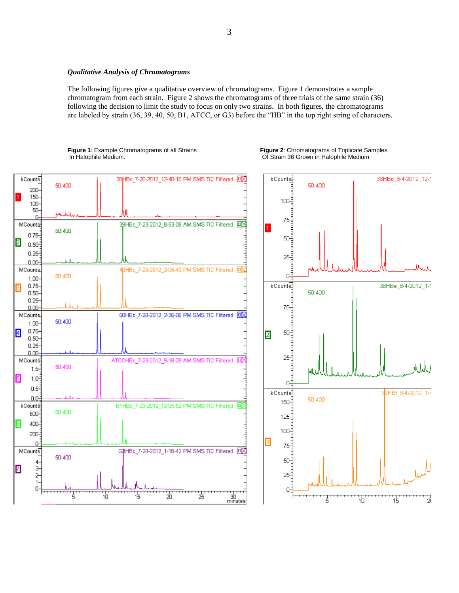### *Qualitative Analysis of Chromatograms*

The following figures give a qualitative overview of chromatograms. Figure 1 demonstrates a sample chromatogram from each strain. Figure 2 shows the chromatograms of three trials of the same strain (36) following the decision to limit the study to focus on only two strains. In both figures, the chromatograms are labeled by strain (36, 39, 40, 50, B1, ATCC, or G3) before the "HB" in the top right string of characters.

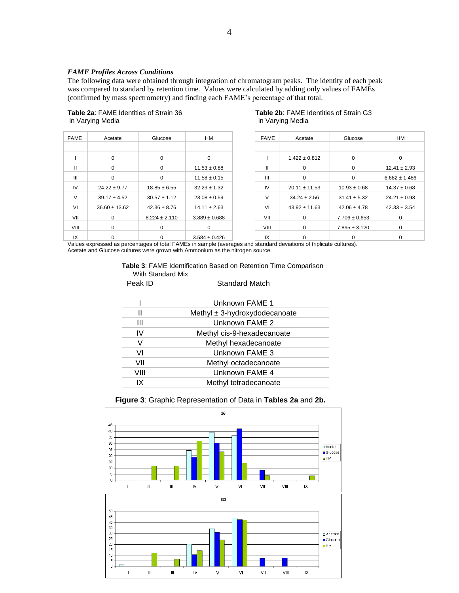### *FAME Profiles Across Conditions*

The following data were obtained through integration of chromatogram peaks. The identity of each peak was compared to standard by retention time. Values were calculated by adding only values of FAMEs (confirmed by mass spectrometry) and finding each FAME's percentage of that total.

# in Varying Media in Varying Media

| <b>FAME</b>    | Acetate           | Glucose           | <b>HM</b>         | <b>FAME</b>  | Acetate           | Glucose           | Hľ          |
|----------------|-------------------|-------------------|-------------------|--------------|-------------------|-------------------|-------------|
|                |                   |                   |                   |              |                   |                   |             |
|                | 0                 | $\Omega$          | $\Omega$          |              | $1.422 \pm 0.812$ | $\Omega$          |             |
| Ш              | $\Omega$          | $\Omega$          | $11.53 \pm 0.88$  | $\mathbf{I}$ | $\Omega$          | 0                 | 12.41:      |
| $\mathbf{III}$ | $\Omega$          | $\Omega$          | $11.58 \pm 0.15$  | Ш            | $\Omega$          | $\Omega$          | 6.682 $\pm$ |
| IV             | $24.22 \pm 9.77$  | $18.85 \pm 6.55$  | $32.23 \pm 1.32$  | IV           | $20.11 \pm 11.53$ | $10.93 \pm 0.68$  | 14.37:      |
| $\vee$         | $39.17 \pm 4.52$  | $30.57 \pm 1.12$  | $23.08 \pm 0.59$  | V            | $34.24 \pm 2.56$  | $31.41 \pm 5.32$  | 24.21:      |
| VI             | $36.60 \pm 13.62$ | $42.36 \pm 8.76$  | $14.11 \pm 2.63$  | VI           | $43.92 \pm 11.63$ | $42.06 \pm 4.78$  | 42.33 :     |
| VII            | 0                 | $8.224 \pm 2.110$ | $3.889 \pm 0.688$ | VII          | 0                 | $7.706 \pm 0.653$ |             |
| VIII           | 0                 | $\Omega$          | $\Omega$          | VIII         | $\Omega$          | $7.895 \pm 3.120$ |             |
| IX             | 0                 | 0                 | $3.584 \pm 0.426$ | IX           |                   |                   | 0           |

# **Table 2a**: FAME Identities of Strain 36 **Table 2b**: FAME Identities of Strain G3

| <b>FAME</b> | Acetate           | Glucose           | HМ                |  |
|-------------|-------------------|-------------------|-------------------|--|
|             |                   |                   |                   |  |
|             | $1.422 \pm 0.812$ | $\Omega$          | 0                 |  |
| Ш           | $\Omega$          | $\Omega$          | $12.41 \pm 2.93$  |  |
| Ш           | $\Omega$          | $\Omega$          | $6.682 \pm 1.486$ |  |
| IV          | $20.11 \pm 11.53$ | $10.93 \pm 0.68$  | $14.37 \pm 0.68$  |  |
| V           | $34.24 \pm 2.56$  | $31.41 \pm 5.32$  | $24.21 \pm 0.93$  |  |
| VI          | $43.92 \pm 11.63$ | $42.06 \pm 4.78$  | $42.33 \pm 3.54$  |  |
| VII         | 0                 | $7.706 \pm 0.653$ | $\Omega$          |  |
| VIII        | $\Omega$          | $7.895 \pm 3.120$ | 0                 |  |
| IX          | 0                 | 0                 | $\Omega$          |  |

Values expressed as percentages of total FAMEs in sample (averages and standard deviations of triplicate cultures). Acetate and Glucose cultures were grown with Ammonium as the nitrogen source.

### **Table 3**: FAME Identification Based on Retention Time Comparison With Standard Mix

| Peak ID | <b>Standard Match</b>             |  |  |
|---------|-----------------------------------|--|--|
|         |                                   |  |  |
|         | Unknown FAME 1                    |  |  |
| Ш       | Methyl $\pm$ 3-hydroxydodecanoate |  |  |
| Ш       | Unknown FAME 2                    |  |  |
| IV      | Methyl cis-9-hexadecanoate        |  |  |
| V       | Methyl hexadecanoate              |  |  |
| VI      | Unknown FAME 3                    |  |  |
| VII     | Methyl octadecanoate              |  |  |
| VIII    | Unknown FAME 4                    |  |  |
| IΧ      | Methyl tetradecanoate             |  |  |

## **Figure 3**: Graphic Representation of Data in **Tables 2a** and **2b.**

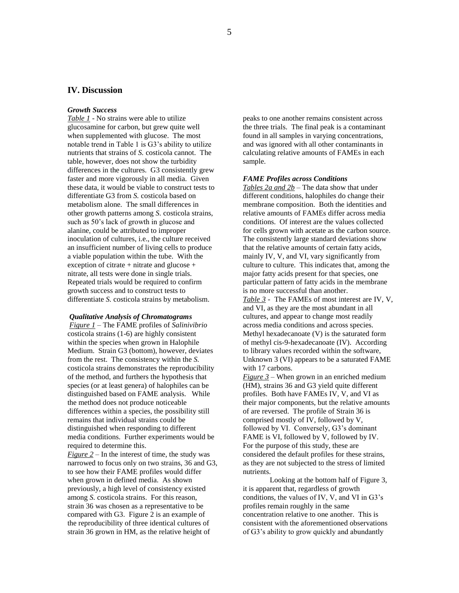# **IV. Discussion**

### *Growth Success*

*Table 1* - No strains were able to utilize glucosamine for carbon, but grew quite well when supplemented with glucose. The most notable trend in Table 1 is G3's ability to utilize nutrients that strains of *S.* costicola cannot. The table, however, does not show the turbidity differences in the cultures. G3 consistently grew faster and more vigorously in all media. Given these data, it would be viable to construct tests to differentiate G3 from *S.* costicola based on metabolism alone. The small differences in other growth patterns among *S.* costicola strains, such as 50's lack of growth in glucose and alanine, could be attributed to improper inoculation of cultures, i.e., the culture received an insufficient number of living cells to produce a viable population within the tube. With the exception of citrate + nitrate and glucose + nitrate, all tests were done in single trials. Repeated trials would be required to confirm growth success and to construct tests to differentiate *S.* costicola strains by metabolism.

## *Qualitative Analysis of Chromatograms*

*Figure 1 –* The FAME profiles of *Salinivibrio*  costicola strains (1-6) are highly consistent within the species when grown in Halophile Medium. Strain G3 (bottom), however, deviates from the rest. The consistency within the *S.*  costicola strains demonstrates the reproducibility of the method, and furthers the hypothesis that species (or at least genera) of halophiles can be distinguished based on FAME analysis. While the method does not produce noticeable differences within a species, the possibility still remains that individual strains could be distinguished when responding to different media conditions. Further experiments would be required to determine this.

*Figure 2 – In the interest of time, the study was* narrowed to focus only on two strains, 36 and G3, to see how their FAME profiles would differ when grown in defined media. As shown previously, a high level of consistency existed among *S.* costicola strains. For this reason, strain 36 was chosen as a representative to be compared with G3. Figure 2 is an example of the reproducibility of three identical cultures of strain 36 grown in HM, as the relative height of

peaks to one another remains consistent across the three trials. The final peak is a contaminant found in all samples in varying concentrations, and was ignored with all other contaminants in calculating relative amounts of FAMEs in each sample.

#### *FAME Profiles across Conditions*

*Tables 2a and 2b* – The data show that under different conditions, halophiles do change their membrane composition. Both the identities and relative amounts of FAMEs differ across media conditions. Of interest are the values collected for cells grown with acetate as the carbon source. The consistently large standard deviations show that the relative amounts of certain fatty acids, mainly IV, V, and VI, vary significantly from culture to culture. This indicates that, among the major fatty acids present for that species, one particular pattern of fatty acids in the membrane is no more successful than another.

*Table 3 -* The FAMEs of most interest are IV, V, and VI, as they are the most abundant in all cultures, and appear to change most readily across media conditions and across species. Methyl hexadecanoate (V) is the saturated form of methyl cis-9-hexadecanoate (IV). According to library values recorded within the software, Unknown 3 (VI) appears to be a saturated FAME with 17 carbons.

*Figure 3* – When grown in an enriched medium (HM), strains 36 and G3 yield quite different profiles. Both have FAMEs IV, V, and VI as their major components, but the relative amounts of are reversed. The profile of Strain 36 is comprised mostly of IV, followed by V, followed by VI. Conversely, G3's dominant FAME is VI, followed by V, followed by IV. For the purpose of this study, these are considered the default profiles for these strains, as they are not subjected to the stress of limited nutrients.

Looking at the bottom half of Figure 3, it is apparent that, regardless of growth conditions, the values of IV, V, and VI in G3's profiles remain roughly in the same concentration relative to one another. This is consistent with the aforementioned observations of G3's ability to grow quickly and abundantly